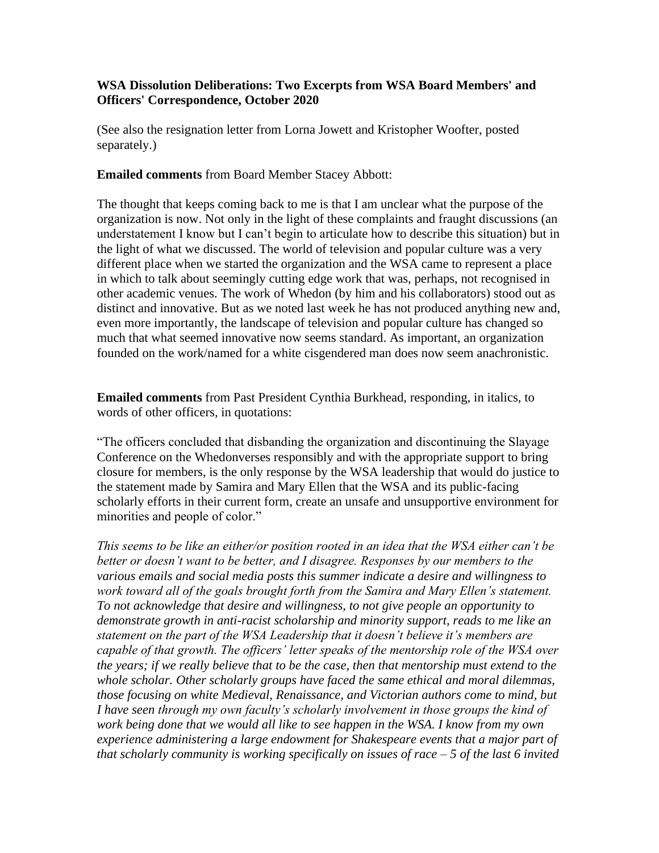## **WSA Dissolution Deliberations: Two Excerpts from WSA Board Members' and Officers' Correspondence, October 2020**

(See also the resignation letter from Lorna Jowett and Kristopher Woofter, posted separately.)

## **Emailed comments** from Board Member Stacey Abbott:

The thought that keeps coming back to me is that I am unclear what the purpose of the organization is now. Not only in the light of these complaints and fraught discussions (an understatement I know but I can't begin to articulate how to describe this situation) but in the light of what we discussed. The world of television and popular culture was a very different place when we started the organization and the WSA came to represent a place in which to talk about seemingly cutting edge work that was, perhaps, not recognised in other academic venues. The work of Whedon (by him and his collaborators) stood out as distinct and innovative. But as we noted last week he has not produced anything new and, even more importantly, the landscape of television and popular culture has changed so much that what seemed innovative now seems standard. As important, an organization founded on the work/named for a white cisgendered man does now seem anachronistic.

**Emailed comments** from Past President Cynthia Burkhead, responding, in italics, to words of other officers, in quotations:

"The officers concluded that disbanding the organization and discontinuing the Slayage Conference on the Whedonverses responsibly and with the appropriate support to bring closure for members, is the only response by the WSA leadership that would do justice to the statement made by Samira and Mary Ellen that the WSA and its public-facing scholarly efforts in their current form, create an unsafe and unsupportive environment for minorities and people of color."

*This seems to be like an either/or position rooted in an idea that the WSA either can't be better or doesn't want to be better, and I disagree. Responses by our members to the various emails and social media posts this summer indicate a desire and willingness to work toward all of the goals brought forth from the Samira and Mary Ellen's statement. To not acknowledge that desire and willingness, to not give people an opportunity to demonstrate growth in anti-racist scholarship and minority support, reads to me like an statement on the part of the WSA Leadership that it doesn't believe it's members are capable of that growth. The officers' letter speaks of the mentorship role of the WSA over the years; if we really believe that to be the case, then that mentorship must extend to the whole scholar. Other scholarly groups have faced the same ethical and moral dilemmas, those focusing on white Medieval, Renaissance, and Victorian authors come to mind, but I have seen through my own faculty's scholarly involvement in those groups the kind of work being done that we would all like to see happen in the WSA. I know from my own experience administering a large endowment for Shakespeare events that a major part of that scholarly community is working specifically on issues of race – 5 of the last 6 invited*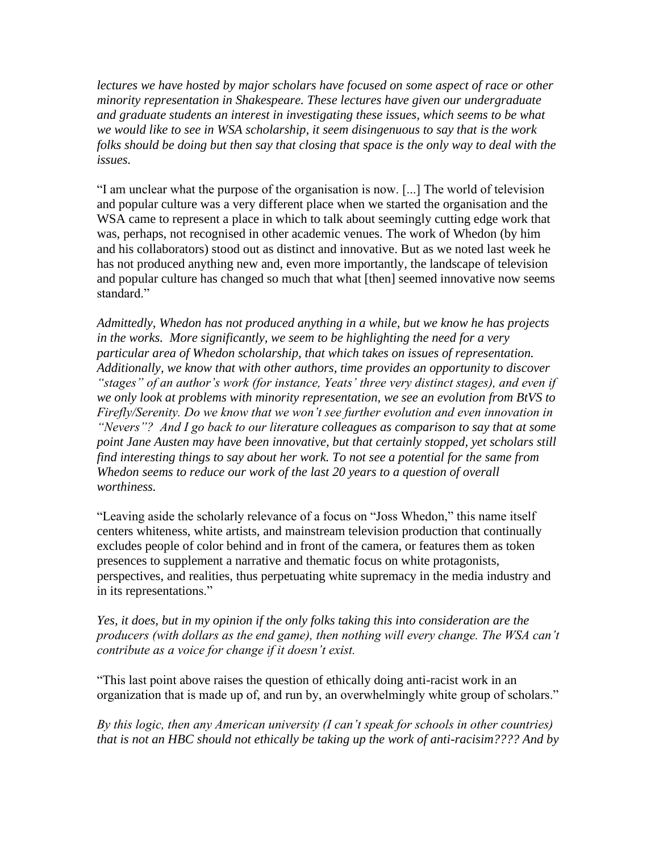*lectures we have hosted by major scholars have focused on some aspect of race or other minority representation in Shakespeare. These lectures have given our undergraduate and graduate students an interest in investigating these issues, which seems to be what we would like to see in WSA scholarship, it seem disingenuous to say that is the work folks should be doing but then say that closing that space is the only way to deal with the issues.*

"I am unclear what the purpose of the organisation is now. [...] The world of television and popular culture was a very different place when we started the organisation and the WSA came to represent a place in which to talk about seemingly cutting edge work that was, perhaps, not recognised in other academic venues. The work of Whedon (by him and his collaborators) stood out as distinct and innovative. But as we noted last week he has not produced anything new and, even more importantly, the landscape of television and popular culture has changed so much that what [then] seemed innovative now seems standard."

*Admittedly, Whedon has not produced anything in a while, but we know he has projects in the works. More significantly, we seem to be highlighting the need for a very particular area of Whedon scholarship, that which takes on issues of representation. Additionally, we know that with other authors, time provides an opportunity to discover "stages" of an author's work (for instance, Yeats' three very distinct stages), and even if we only look at problems with minority representation, we see an evolution from BtVS to Firefly/Serenity. Do we know that we won't see further evolution and even innovation in "Nevers"? And I go back to our literature colleagues as comparison to say that at some point Jane Austen may have been innovative, but that certainly stopped, yet scholars still find interesting things to say about her work. To not see a potential for the same from Whedon seems to reduce our work of the last 20 years to a question of overall worthiness.*

"Leaving aside the scholarly relevance of a focus on "Joss Whedon," this name itself centers whiteness, white artists, and mainstream television production that continually excludes people of color behind and in front of the camera, or features them as token presences to supplement a narrative and thematic focus on white protagonists, perspectives, and realities, thus perpetuating white supremacy in the media industry and in its representations."

*Yes, it does, but in my opinion if the only folks taking this into consideration are the producers (with dollars as the end game), then nothing will every change. The WSA can't contribute as a voice for change if it doesn't exist.*

"This last point above raises the question of ethically doing anti-racist work in an organization that is made up of, and run by, an overwhelmingly white group of scholars."

*By this logic, then any American university (I can't speak for schools in other countries) that is not an HBC should not ethically be taking up the work of anti-racisim???? And by*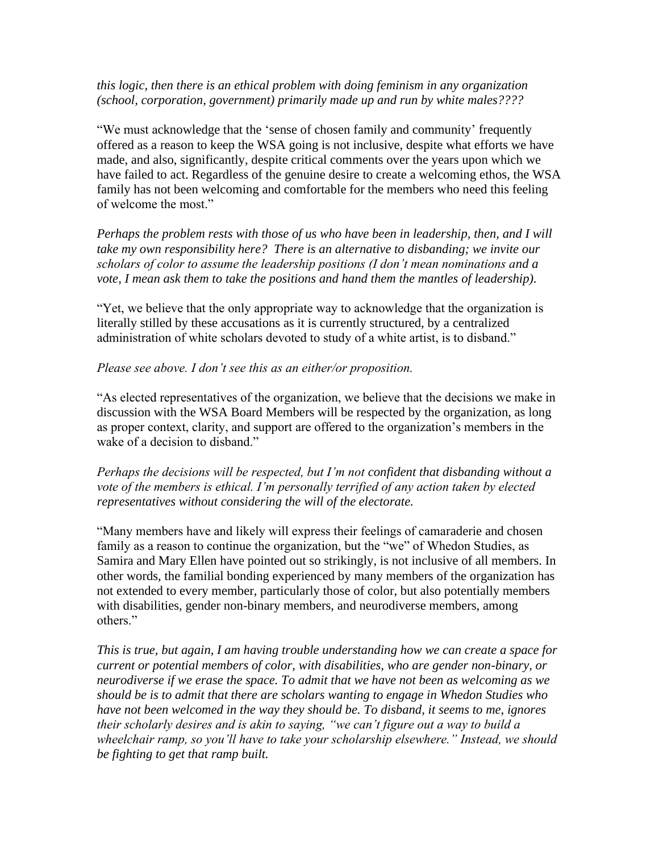*this logic, then there is an ethical problem with doing feminism in any organization (school, corporation, government) primarily made up and run by white males????*

"We must acknowledge that the 'sense of chosen family and community' frequently offered as a reason to keep the WSA going is not inclusive, despite what efforts we have made, and also, significantly, despite critical comments over the years upon which we have failed to act. Regardless of the genuine desire to create a welcoming ethos, the WSA family has not been welcoming and comfortable for the members who need this feeling of welcome the most."

*Perhaps the problem rests with those of us who have been in leadership, then, and I will take my own responsibility here? There is an alternative to disbanding; we invite our scholars of color to assume the leadership positions (I don't mean nominations and a vote, I mean ask them to take the positions and hand them the mantles of leadership).* 

"Yet, we believe that the only appropriate way to acknowledge that the organization is literally stilled by these accusations as it is currently structured, by a centralized administration of white scholars devoted to study of a white artist, is to disband."

## *Please see above. I don't see this as an either/or proposition.*

"As elected representatives of the organization, we believe that the decisions we make in discussion with the WSA Board Members will be respected by the organization, as long as proper context, clarity, and support are offered to the organization's members in the wake of a decision to disband."

*Perhaps the decisions will be respected, but I'm not confident that disbanding without a vote of the members is ethical. I'm personally terrified of any action taken by elected representatives without considering the will of the electorate.* 

"Many members have and likely will express their feelings of camaraderie and chosen family as a reason to continue the organization, but the "we" of Whedon Studies, as Samira and Mary Ellen have pointed out so strikingly, is not inclusive of all members. In other words, the familial bonding experienced by many members of the organization has not extended to every member, particularly those of color, but also potentially members with disabilities, gender non-binary members, and neurodiverse members, among others."

*This is true, but again, I am having trouble understanding how we can create a space for current or potential members of color, with disabilities, who are gender non-binary, or neurodiverse if we erase the space. To admit that we have not been as welcoming as we should be is to admit that there are scholars wanting to engage in Whedon Studies who have not been welcomed in the way they should be. To disband, it seems to me, ignores their scholarly desires and is akin to saying, "we can't figure out a way to build a wheelchair ramp, so you'll have to take your scholarship elsewhere." Instead, we should be fighting to get that ramp built.*